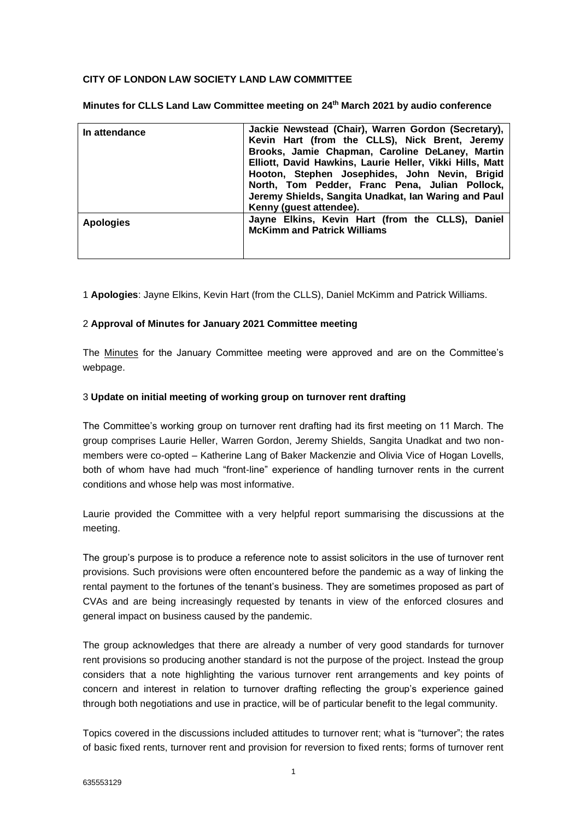# **CITY OF LONDON LAW SOCIETY LAND LAW COMMITTEE**

**Minutes for CLLS Land Law Committee meeting on 24th March 2021 by audio conference**

| In attendance    | Jackie Newstead (Chair), Warren Gordon (Secretary),<br>Kevin Hart (from the CLLS), Nick Brent, Jeremy<br>Brooks, Jamie Chapman, Caroline DeLaney, Martin<br>Elliott, David Hawkins, Laurie Heller, Vikki Hills, Matt<br>Hooton, Stephen Josephides, John Nevin, Brigid<br>North, Tom Pedder, Franc Pena, Julian Pollock,<br>Jeremy Shields, Sangita Unadkat, Ian Waring and Paul<br>Kenny (guest attendee). |
|------------------|-------------------------------------------------------------------------------------------------------------------------------------------------------------------------------------------------------------------------------------------------------------------------------------------------------------------------------------------------------------------------------------------------------------|
| <b>Apologies</b> | Jayne Elkins, Kevin Hart (from the CLLS), Daniel<br><b>McKimm and Patrick Williams</b>                                                                                                                                                                                                                                                                                                                      |

1 **Apologies**: Jayne Elkins, Kevin Hart (from the CLLS), Daniel McKimm and Patrick Williams.

# 2 **Approval of Minutes for January 2021 Committee meeting**

The [Minutes](https://www.citysolicitors.org.uk/storage/2021/02/Minutes-for-January-2021-CLLS-Land-law-commitee.pdf) for the January Committee meeting were approved and are on the Committee's webpage.

## 3 **Update on initial meeting of working group on turnover rent drafting**

The Committee's working group on turnover rent drafting had its first meeting on 11 March. The group comprises Laurie Heller, Warren Gordon, Jeremy Shields, Sangita Unadkat and two nonmembers were co-opted – Katherine Lang of Baker Mackenzie and Olivia Vice of Hogan Lovells, both of whom have had much "front-line" experience of handling turnover rents in the current conditions and whose help was most informative.

Laurie provided the Committee with a very helpful report summarising the discussions at the meeting.

The group's purpose is to produce a reference note to assist solicitors in the use of turnover rent provisions. Such provisions were often encountered before the pandemic as a way of linking the rental payment to the fortunes of the tenant's business. They are sometimes proposed as part of CVAs and are being increasingly requested by tenants in view of the enforced closures and general impact on business caused by the pandemic.

The group acknowledges that there are already a number of very good standards for turnover rent provisions so producing another standard is not the purpose of the project. Instead the group considers that a note highlighting the various turnover rent arrangements and key points of concern and interest in relation to turnover drafting reflecting the group's experience gained through both negotiations and use in practice, will be of particular benefit to the legal community.

Topics covered in the discussions included attitudes to turnover rent; what is "turnover"; the rates of basic fixed rents, turnover rent and provision for reversion to fixed rents; forms of turnover rent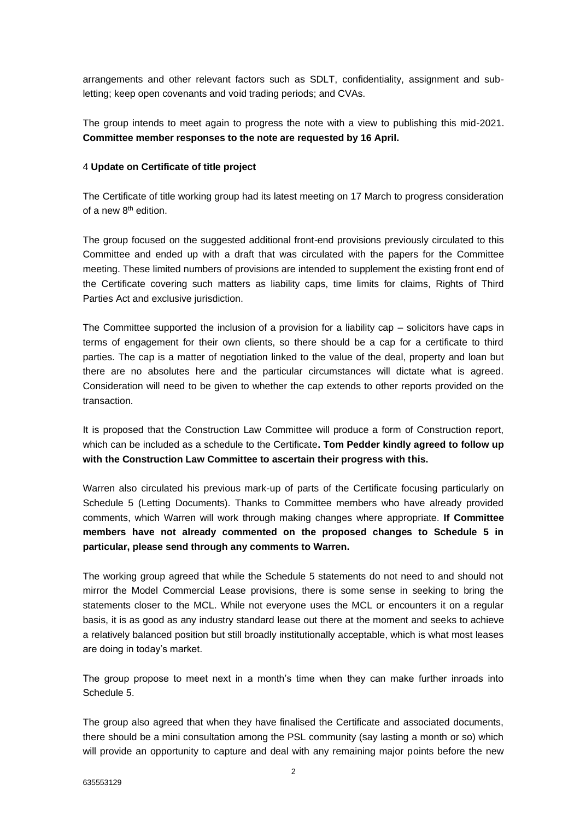arrangements and other relevant factors such as SDLT, confidentiality, assignment and subletting; keep open covenants and void trading periods; and CVAs.

The group intends to meet again to progress the note with a view to publishing this mid-2021. **Committee member responses to the note are requested by 16 April.**

### 4 **Update on Certificate of title project**

The Certificate of title working group had its latest meeting on 17 March to progress consideration of a new 8th edition.

The group focused on the suggested additional front-end provisions previously circulated to this Committee and ended up with a draft that was circulated with the papers for the Committee meeting. These limited numbers of provisions are intended to supplement the existing front end of the Certificate covering such matters as liability caps, time limits for claims, Rights of Third Parties Act and exclusive jurisdiction.

The Committee supported the inclusion of a provision for a liability cap – solicitors have caps in terms of engagement for their own clients, so there should be a cap for a certificate to third parties. The cap is a matter of negotiation linked to the value of the deal, property and loan but there are no absolutes here and the particular circumstances will dictate what is agreed. Consideration will need to be given to whether the cap extends to other reports provided on the transaction.

It is proposed that the Construction Law Committee will produce a form of Construction report, which can be included as a schedule to the Certificate**. Tom Pedder kindly agreed to follow up with the Construction Law Committee to ascertain their progress with this.** 

Warren also circulated his previous mark-up of parts of the Certificate focusing particularly on Schedule 5 (Letting Documents). Thanks to Committee members who have already provided comments, which Warren will work through making changes where appropriate. **If Committee members have not already commented on the proposed changes to Schedule 5 in particular, please send through any comments to Warren.**

The working group agreed that while the Schedule 5 statements do not need to and should not mirror the Model Commercial Lease provisions, there is some sense in seeking to bring the statements closer to the MCL. While not everyone uses the MCL or encounters it on a regular basis, it is as good as any industry standard lease out there at the moment and seeks to achieve a relatively balanced position but still broadly institutionally acceptable, which is what most leases are doing in today's market.

The group propose to meet next in a month's time when they can make further inroads into Schedule 5.

The group also agreed that when they have finalised the Certificate and associated documents, there should be a mini consultation among the PSL community (say lasting a month or so) which will provide an opportunity to capture and deal with any remaining major points before the new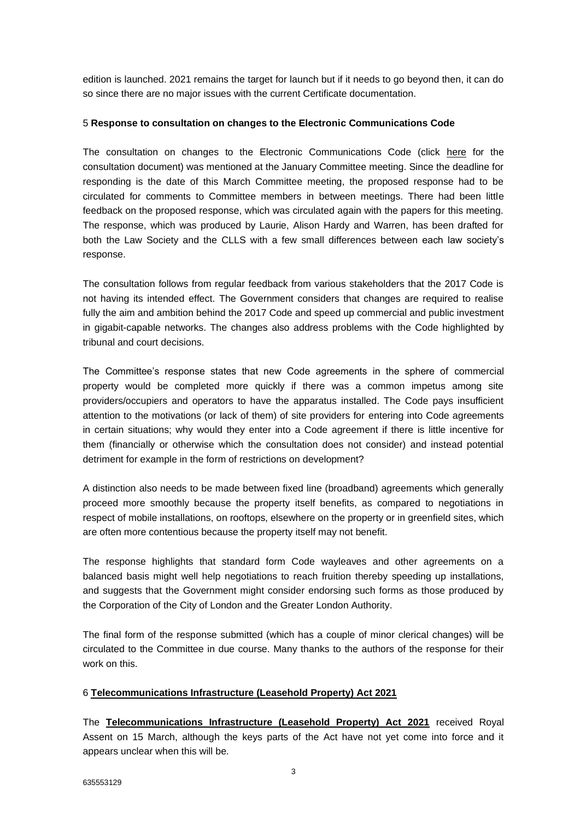edition is launched. 2021 remains the target for launch but if it needs to go beyond then, it can do so since there are no major issues with the current Certificate documentation.

## 5 **Response to consultation on changes to the Electronic Communications Code**

The consultation on changes to the Electronic Communications Code (click [here](https://www.gov.uk/government/consultations/consultation-on-changes-to-the-electronic-communications-code#history) for the consultation document) was mentioned at the January Committee meeting. Since the deadline for responding is the date of this March Committee meeting, the proposed response had to be circulated for comments to Committee members in between meetings. There had been little feedback on the proposed response, which was circulated again with the papers for this meeting. The response, which was produced by Laurie, Alison Hardy and Warren, has been drafted for both the Law Society and the CLLS with a few small differences between each law society's response.

The consultation follows from regular feedback from various stakeholders that the 2017 Code is not having its intended effect. The Government considers that changes are required to realise fully the aim and ambition behind the 2017 Code and speed up commercial and public investment in gigabit-capable networks. The changes also address problems with the Code highlighted by tribunal and court decisions.

The Committee's response states that new Code agreements in the sphere of commercial property would be completed more quickly if there was a common impetus among site providers/occupiers and operators to have the apparatus installed. The Code pays insufficient attention to the motivations (or lack of them) of site providers for entering into Code agreements in certain situations; why would they enter into a Code agreement if there is little incentive for them (financially or otherwise which the consultation does not consider) and instead potential detriment for example in the form of restrictions on development?

A distinction also needs to be made between fixed line (broadband) agreements which generally proceed more smoothly because the property itself benefits, as compared to negotiations in respect of mobile installations, on rooftops, elsewhere on the property or in greenfield sites, which are often more contentious because the property itself may not benefit.

The response highlights that standard form Code wayleaves and other agreements on a balanced basis might well help negotiations to reach fruition thereby speeding up installations, and suggests that the Government might consider endorsing such forms as those produced by the Corporation of the City of London and the Greater London Authority.

The final form of the response submitted (which has a couple of minor clerical changes) will be circulated to the Committee in due course. Many thanks to the authors of the response for their work on this.

## 6 **[Telecommunications Infrastructure \(Leasehold Property\) Act 2021](https://www.legislation.gov.uk/ukpga/2021/7/contents/enacted)**

The **[Telecommunications Infrastructure \(Leasehold Property\) Act 2021](https://www.legislation.gov.uk/ukpga/2021/7/contents/enacted)** received Royal Assent on 15 March, although the keys parts of the Act have not yet come into force and it appears unclear when this will be.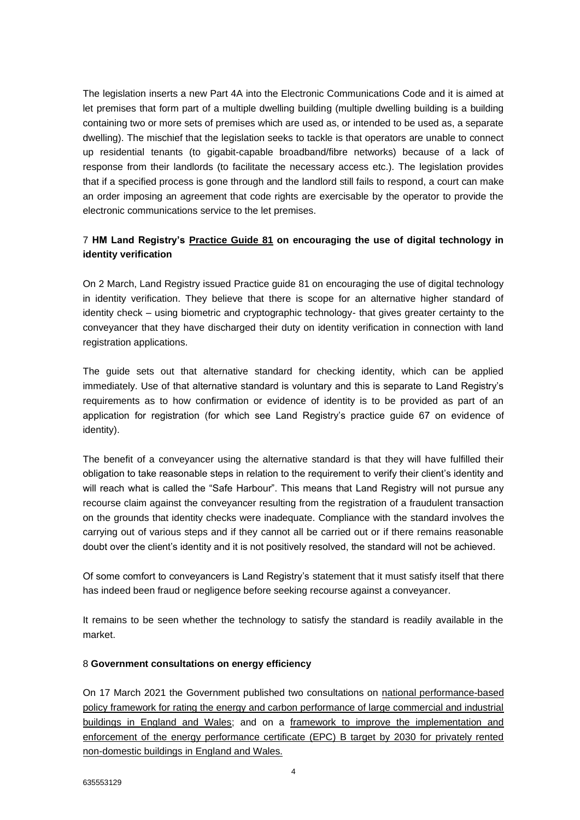The legislation inserts a new Part 4A into the Electronic Communications Code and it is aimed at let premises that form part of a multiple dwelling building (multiple dwelling building is a building containing two or more sets of premises which are used as, or intended to be used as, a separate dwelling). The mischief that the legislation seeks to tackle is that operators are unable to connect up residential tenants (to gigabit-capable broadband/fibre networks) because of a lack of response from their landlords (to facilitate the necessary access etc.). The legislation provides that if a specified process is gone through and the landlord still fails to respond, a court can make an order imposing an agreement that code rights are exercisable by the operator to provide the electronic communications service to the let premises.

# 7 **HM Land Registry's [Practice Guide 81](https://www.gov.uk/government/publications/encouraging-the-use-of-digital-technology-in-identity-verification-pg81/practice-guide-81-encouraging-the-use-of-digital-technology-in-identity-verification) on encouraging the use of digital technology in identity verification**

On 2 March, Land Registry issued Practice guide 81 on encouraging the use of digital technology in identity verification. They believe that there is scope for an alternative higher standard of identity check – using biometric and cryptographic technology- that gives greater certainty to the conveyancer that they have discharged their duty on identity verification in connection with land registration applications.

The guide sets out that alternative standard for checking identity, which can be applied immediately. Use of that alternative standard is voluntary and this is separate to Land Registry's requirements as to how confirmation or evidence of identity is to be provided as part of an application for registration (for which see Land Registry's practice guide 67 on evidence of identity).

The benefit of a conveyancer using the alternative standard is that they will have fulfilled their obligation to take reasonable steps in relation to the requirement to verify their client's identity and will reach what is called the "Safe Harbour". This means that Land Registry will not pursue any recourse claim against the conveyancer resulting from the registration of a fraudulent transaction on the grounds that identity checks were inadequate. Compliance with the standard involves the carrying out of various steps and if they cannot all be carried out or if there remains reasonable doubt over the client's identity and it is not positively resolved, the standard will not be achieved.

Of some comfort to conveyancers is Land Registry's statement that it must satisfy itself that there has indeed been fraud or negligence before seeking recourse against a conveyancer.

It remains to be seen whether the technology to satisfy the standard is readily available in the market.

## 8 **Government consultations on energy efficiency**

On 17 March 2021 the Government published two consultations on national performance-based [policy framework for rating the energy and carbon performance of large commercial and industrial](https://www.gov.uk/government/consultations/introducing-a-performance-based-policy-framework-in-large-commercial-and-industrial-buildings)  [buildings in England and Wales;](https://www.gov.uk/government/consultations/introducing-a-performance-based-policy-framework-in-large-commercial-and-industrial-buildings) and on a [framework to improve the implementation and](https://assets.publishing.service.gov.uk/government/uploads/system/uploads/attachment_data/file/970192/non-domestic-prs-mees-epc-b-future-trajectory-implementation.pdf)  [enforcement of the energy performance certificate \(EPC\) B target by 2030 for privately rented](https://assets.publishing.service.gov.uk/government/uploads/system/uploads/attachment_data/file/970192/non-domestic-prs-mees-epc-b-future-trajectory-implementation.pdf)  [non-domestic buildings in England and Wales.](https://assets.publishing.service.gov.uk/government/uploads/system/uploads/attachment_data/file/970192/non-domestic-prs-mees-epc-b-future-trajectory-implementation.pdf)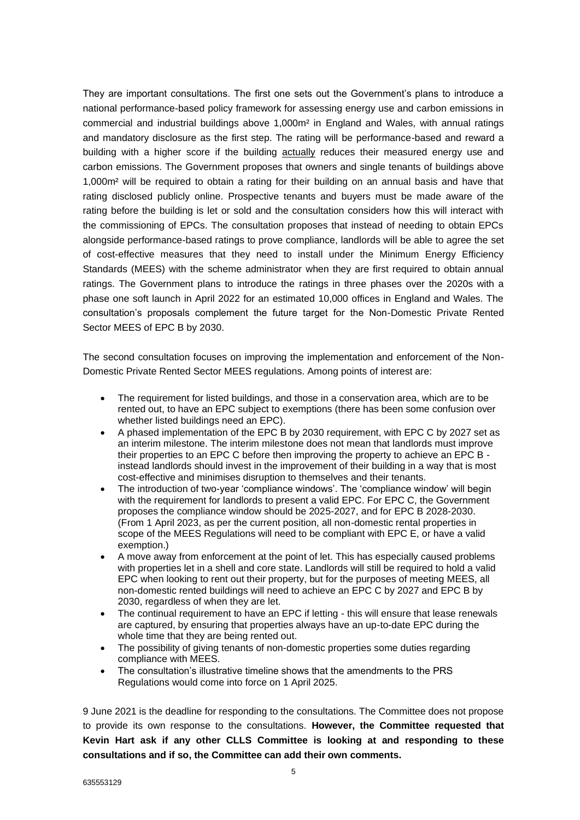They are important consultations. The first one sets out the Government's plans to introduce a national performance-based policy framework for assessing energy use and carbon emissions in commercial and industrial buildings above 1,000m² in England and Wales, with annual ratings and mandatory disclosure as the first step. The rating will be performance-based and reward a building with a higher score if the building actually reduces their measured energy use and carbon emissions. The Government proposes that owners and single tenants of buildings above 1,000m² will be required to obtain a rating for their building on an annual basis and have that rating disclosed publicly online. Prospective tenants and buyers must be made aware of the rating before the building is let or sold and the consultation considers how this will interact with the commissioning of EPCs. The consultation proposes that instead of needing to obtain EPCs alongside performance-based ratings to prove compliance, landlords will be able to agree the set of cost-effective measures that they need to install under the Minimum Energy Efficiency Standards (MEES) with the scheme administrator when they are first required to obtain annual ratings. The Government plans to introduce the ratings in three phases over the 2020s with a phase one soft launch in April 2022 for an estimated 10,000 offices in England and Wales. The consultation's proposals complement the future target for the Non-Domestic Private Rented Sector MEES of EPC B by 2030.

The second consultation focuses on improving the implementation and enforcement of the Non-Domestic Private Rented Sector MEES regulations. Among points of interest are:

- The requirement for listed buildings, and those in a conservation area, which are to be rented out, to have an EPC subject to exemptions (there has been some confusion over whether listed buildings need an EPC).
- A phased implementation of the EPC B by 2030 requirement, with EPC C by 2027 set as an interim milestone. The interim milestone does not mean that landlords must improve their properties to an EPC C before then improving the property to achieve an EPC B instead landlords should invest in the improvement of their building in a way that is most cost-effective and minimises disruption to themselves and their tenants.
- The introduction of two-year 'compliance windows'. The 'compliance window' will begin with the requirement for landlords to present a valid EPC. For EPC C, the Government proposes the compliance window should be 2025-2027, and for EPC B 2028-2030. (From 1 April 2023, as per the current position, all non-domestic rental properties in scope of the MEES Regulations will need to be compliant with EPC E, or have a valid exemption.)
- A move away from enforcement at the point of let. This has especially caused problems with properties let in a shell and core state. Landlords will still be required to hold a valid EPC when looking to rent out their property, but for the purposes of meeting MEES, all non-domestic rented buildings will need to achieve an EPC C by 2027 and EPC B by 2030, regardless of when they are let.
- The continual requirement to have an EPC if letting this will ensure that lease renewals are captured, by ensuring that properties always have an up-to-date EPC during the whole time that they are being rented out.
- The possibility of giving tenants of non-domestic properties some duties regarding compliance with MEES.
- The consultation's illustrative timeline shows that the amendments to the PRS Regulations would come into force on 1 April 2025.

9 June 2021 is the deadline for responding to the consultations. The Committee does not propose to provide its own response to the consultations. **However, the Committee requested that Kevin Hart ask if any other CLLS Committee is looking at and responding to these consultations and if so, the Committee can add their own comments.**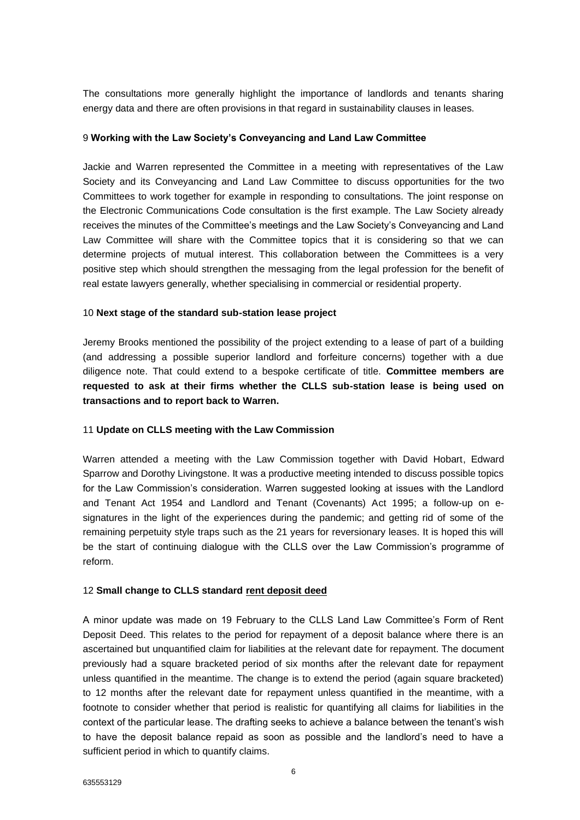The consultations more generally highlight the importance of landlords and tenants sharing energy data and there are often provisions in that regard in sustainability clauses in leases.

#### 9 **Working with the Law Society's Conveyancing and Land Law Committee**

Jackie and Warren represented the Committee in a meeting with representatives of the Law Society and its Conveyancing and Land Law Committee to discuss opportunities for the two Committees to work together for example in responding to consultations. The joint response on the Electronic Communications Code consultation is the first example. The Law Society already receives the minutes of the Committee's meetings and the Law Society's Conveyancing and Land Law Committee will share with the Committee topics that it is considering so that we can determine projects of mutual interest. This collaboration between the Committees is a very positive step which should strengthen the messaging from the legal profession for the benefit of real estate lawyers generally, whether specialising in commercial or residential property.

### 10 **Next stage of the standard sub-station lease project**

Jeremy Brooks mentioned the possibility of the project extending to a lease of part of a building (and addressing a possible superior landlord and forfeiture concerns) together with a due diligence note. That could extend to a bespoke certificate of title. **Committee members are requested to ask at their firms whether the CLLS sub-station lease is being used on transactions and to report back to Warren.**

## 11 **Update on CLLS meeting with the Law Commission**

Warren attended a meeting with the Law Commission together with David Hobart, Edward Sparrow and Dorothy Livingstone. It was a productive meeting intended to discuss possible topics for the Law Commission's consideration. Warren suggested looking at issues with the Landlord and Tenant Act 1954 and Landlord and Tenant (Covenants) Act 1995; a follow-up on esignatures in the light of the experiences during the pandemic; and getting rid of some of the remaining perpetuity style traps such as the 21 years for reversionary leases. It is hoped this will be the start of continuing dialogue with the CLLS over the Law Commission's programme of reform.

#### 12 **Small change to CLLS standard [rent deposit deed](https://www.citysolicitors.org.uk/clls/clls-precedent-documents/city-of-london-law-society-suggested-form-of-rent-deposit-deed/)**

A minor update was made on 19 February to the CLLS Land Law Committee's Form of Rent Deposit Deed. This relates to the period for repayment of a deposit balance where there is an ascertained but unquantified claim for liabilities at the relevant date for repayment. The document previously had a square bracketed period of six months after the relevant date for repayment unless quantified in the meantime. The change is to extend the period (again square bracketed) to 12 months after the relevant date for repayment unless quantified in the meantime, with a footnote to consider whether that period is realistic for quantifying all claims for liabilities in the context of the particular lease. The drafting seeks to achieve a balance between the tenant's wish to have the deposit balance repaid as soon as possible and the landlord's need to have a sufficient period in which to quantify claims.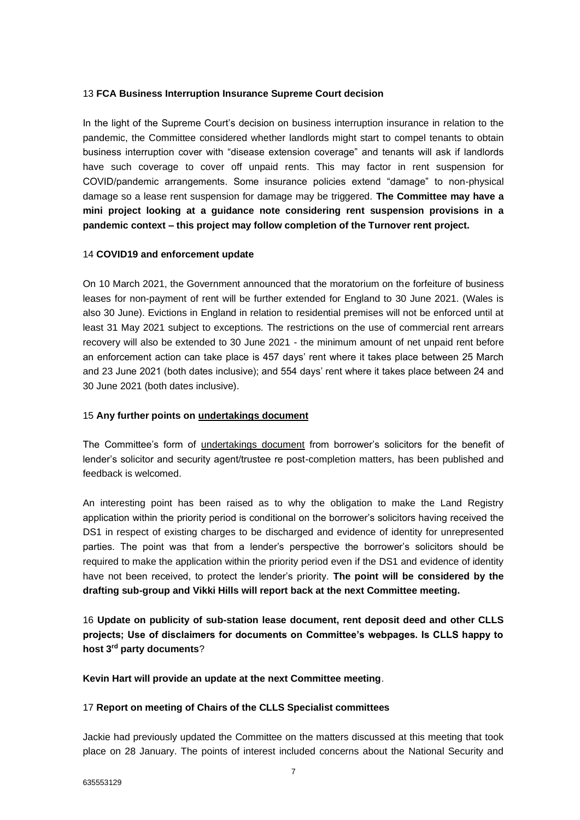## 13 **FCA Business Interruption Insurance Supreme Court decision**

In the light of the Supreme Court's decision on business interruption insurance in relation to the pandemic, the Committee considered whether landlords might start to compel tenants to obtain business interruption cover with "disease extension coverage" and tenants will ask if landlords have such coverage to cover off unpaid rents. This may factor in rent suspension for COVID/pandemic arrangements. Some insurance policies extend "damage" to non-physical damage so a lease rent suspension for damage may be triggered. **The Committee may have a mini project looking at a guidance note considering rent suspension provisions in a pandemic context – this project may follow completion of the Turnover rent project.**

## 14 **COVID19 and enforcement update**

On 10 March 2021, the Government announced that the moratorium on the forfeiture of business leases for non-payment of rent will be further extended for England to 30 June 2021. (Wales is also 30 June). Evictions in England in relation to residential premises will not be enforced until at least 31 May 2021 subject to exceptions. The restrictions on the use of commercial rent arrears recovery will also be extended to 30 June 2021 - the minimum amount of net unpaid rent before an enforcement action can take place is 457 days' rent where it takes place between 25 March and 23 June 2021 (both dates inclusive); and 554 days' rent where it takes place between 24 and 30 June 2021 (both dates inclusive).

## 15 **Any further points on [undertakings document](http://www.citysolicitors.org.uk/clls/clls-precedent-documents/borrowers-solicitors-undertakings-for-benefit-of-lenders-solicitor-and-security-agent-trustee-re-post-completion-matters/)**

The Committee's form of [undertakings document](http://www.citysolicitors.org.uk/clls/clls-precedent-documents/borrowers-solicitors-undertakings-for-benefit-of-lenders-solicitor-and-security-agent-trustee-re-post-completion-matters/) from borrower's solicitors for the benefit of lender's solicitor and security agent/trustee re post-completion matters, has been published and feedback is welcomed.

An interesting point has been raised as to why the obligation to make the Land Registry application within the priority period is conditional on the borrower's solicitors having received the DS1 in respect of existing charges to be discharged and evidence of identity for unrepresented parties. The point was that from a lender's perspective the borrower's solicitors should be required to make the application within the priority period even if the DS1 and evidence of identity have not been received, to protect the lender's priority. **The point will be considered by the drafting sub-group and Vikki Hills will report back at the next Committee meeting.** 

16 **Update on publicity of sub-station lease document, rent deposit deed and other CLLS projects; Use of disclaimers for documents on Committee's webpages. Is CLLS happy to host 3rd party documents**?

**Kevin Hart will provide an update at the next Committee meeting**.

#### 17 **Report on meeting of Chairs of the CLLS Specialist committees**

Jackie had previously updated the Committee on the matters discussed at this meeting that took place on 28 January. The points of interest included concerns about the National Security and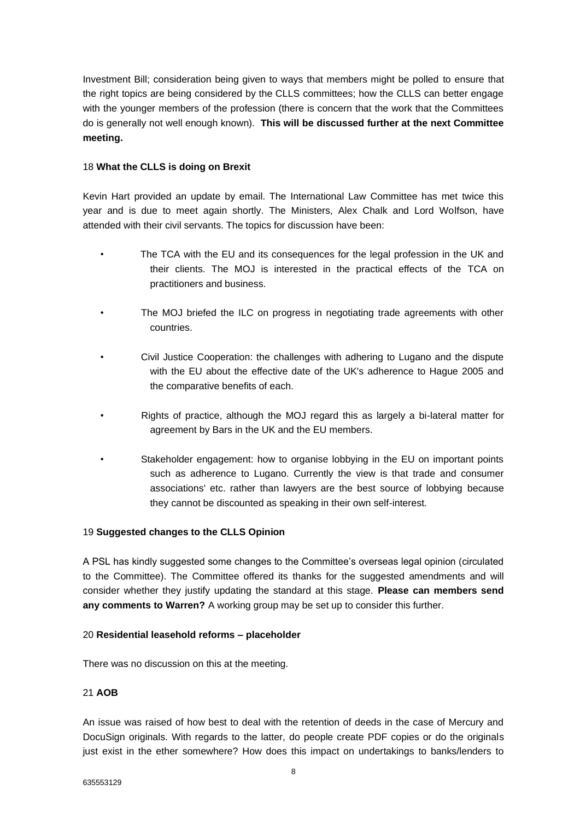Investment Bill; consideration being given to ways that members might be polled to ensure that the right topics are being considered by the CLLS committees; how the CLLS can better engage with the younger members of the profession (there is concern that the work that the Committees do is generally not well enough known). **This will be discussed further at the next Committee meeting.**

### 18 **What the CLLS is doing on Brexit**

Kevin Hart provided an update by email. The International Law Committee has met twice this year and is due to meet again shortly. The Ministers, Alex Chalk and Lord Wolfson, have attended with their civil servants. The topics for discussion have been:

- The TCA with the EU and its consequences for the legal profession in the UK and their clients. The MOJ is interested in the practical effects of the TCA on practitioners and business.
- The MOJ briefed the ILC on progress in negotiating trade agreements with other countries.
- Civil Justice Cooperation: the challenges with adhering to Lugano and the dispute with the EU about the effective date of the UK's adherence to Hague 2005 and the comparative benefits of each.
- Rights of practice, although the MOJ regard this as largely a bi-lateral matter for agreement by Bars in the UK and the EU members.
- Stakeholder engagement: how to organise lobbying in the EU on important points such as adherence to Lugano. Currently the view is that trade and consumer associations' etc. rather than lawyers are the best source of lobbying because they cannot be discounted as speaking in their own self-interest.

## 19 **Suggested changes to the CLLS Opinion**

A PSL has kindly suggested some changes to the Committee's overseas legal opinion (circulated to the Committee). The Committee offered its thanks for the suggested amendments and will consider whether they justify updating the standard at this stage. **Please can members send any comments to Warren?** A working group may be set up to consider this further.

#### 20 **Residential leasehold reforms – placeholder**

There was no discussion on this at the meeting.

### 21 **AOB**

An issue was raised of how best to deal with the retention of deeds in the case of Mercury and DocuSign originals. With regards to the latter, do people create PDF copies or do the originals just exist in the ether somewhere? How does this impact on undertakings to banks/lenders to